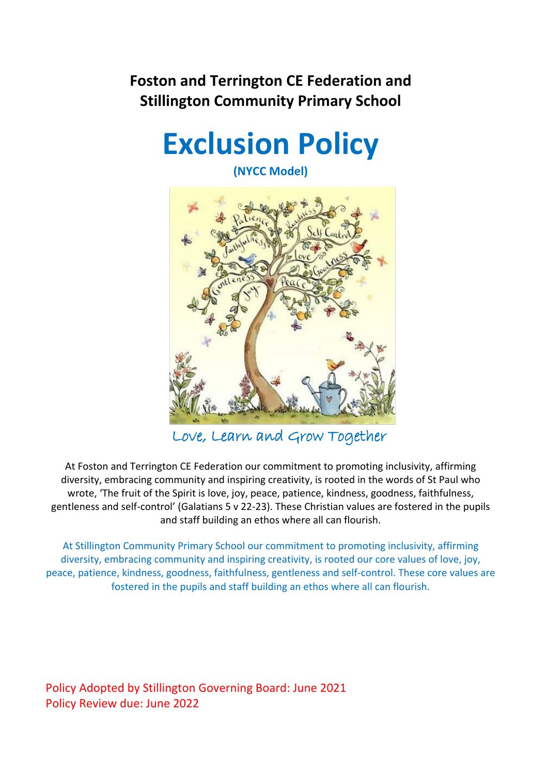# **Foston and Terrington CE Federation and Stillington Community Primary School**



**(NYCC Model)**



Love, Learn and Grow Together

At Foston and Terrington CE Federation our commitment to promoting inclusivity, affirming diversity, embracing community and inspiring creativity, is rooted in the words of St Paul who wrote, 'The fruit of the Spirit is love, joy, peace, patience, kindness, goodness, faithfulness, gentleness and self-control' (Galatians 5 v 22-23). These Christian values are fostered in the pupils and staff building an ethos where all can flourish.

At Stillington Community Primary School our commitment to promoting inclusivity, affirming diversity, embracing community and inspiring creativity, is rooted our core values of love, joy, peace, patience, kindness, goodness, faithfulness, gentleness and self-control. These core values are fostered in the pupils and staff building an ethos where all can flourish.

Policy Adopted by Stillington Governing Board: June 2021 Policy Review due: June 2022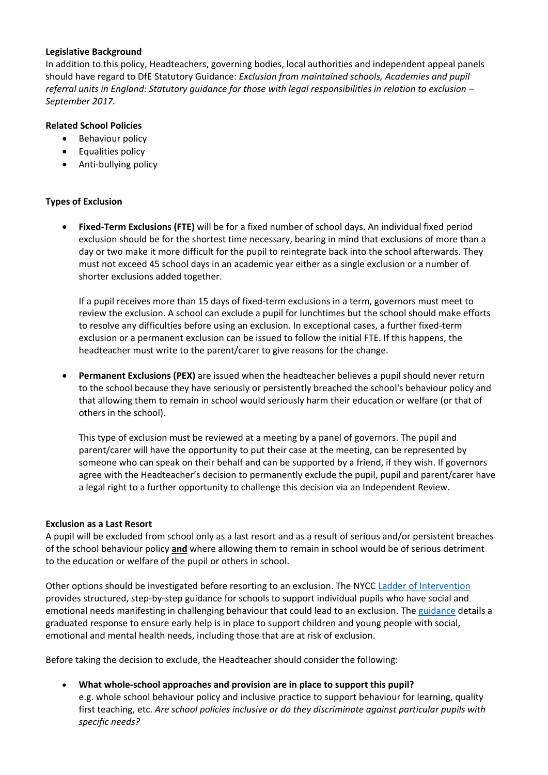#### **Legislative Background**

In addition to this policy, Headteachers, governing bodies, local authorities and independent appeal panels should have regard to DfE Statutory Guidance: *Exclusion from maintained schools, Academies and pupil referral units in England: Statutory guidance for those with legal responsibilities in relation to exclusion – September 2017.*

# **Related School Policies**

- Behaviour policy
- Equalities policy
- Anti-bullying policy

## **Types of Exclusion**

• **Fixed-Term Exclusions (FTE)** will be for a fixed number of school days. An individual fixed period exclusion should be for the shortest time necessary, bearing in mind that exclusions of more than a day or two make it more difficult for the pupil to reintegrate back into the school afterwards. They must not exceed 45 school days in an academic year either as a single exclusion or a number of shorter exclusions added together.

If a pupil receives more than 15 days of fixed-term exclusions in a term, governors must meet to review the exclusion. A school can exclude a pupil for lunchtimes but the school should make efforts to resolve any difficulties before using an exclusion. In exceptional cases, a further fixed-term exclusion or a permanent exclusion can be issued to follow the initial FTE. If this happens, the headteacher must write to the parent/carer to give reasons for the change.

• **Permanent Exclusions (PEX)** are issued when the headteacher believes a pupil should never return to the school because they have seriously or persistently breached the school's behaviour policy and that allowing them to remain in school would seriously harm their education or welfare (or that of others in the school).

This type of exclusion must be reviewed at a meeting by a panel of governors. The pupil and parent/carer will have the opportunity to put their case at the meeting, can be represented by someone who can speak on their behalf and can be supported by a friend, if they wish. If governors agree with the Headteacher's decision to permanently exclude the pupil, pupil and parent/carer have a legal right to a further opportunity to challenge this decision via an Independent Review.

#### **Exclusion as a Last Resort**

A pupil will be excluded from school only as a last resort and as a result of serious and/or persistent breaches of the school behaviour policy **and** where allowing them to remain in school would be of serious detriment to the education or welfare of the pupil or others in school.

Other options should be investigated before resorting to an exclusion. The NYCC [Ladder of Intervention](https://cyps.northyorks.gov.uk/sites/default/files/Supporting%20Children%20and%20Families/SEND/Exclusions/75036%20Ladder%20of%20Intervention%20final.pdf)  provides structured, step-by-step guidance for schools to support individual pupils who have social and emotional needs manifesting in challenging behaviour that could lead to an exclusion. The [guidance](https://cyps.northyorks.gov.uk/sites/default/files/Supporting%20Children%20and%20Families/SEND/Exclusions/76099_Intervention%20guidance_interactive%20final.pdf) details a graduated response to ensure early help is in place to support children and young people with social, emotional and mental health needs, including those that are at risk of exclusion.

Before taking the decision to exclude, the Headteacher should consider the following:

• **What whole-school approaches and provision are in place to support this pupil?** e.g. whole school behaviour policy and inclusive practice to support behaviour for learning, quality first teaching, etc. *Are school policies inclusive or do they discriminate against particular pupils with specific needs?*